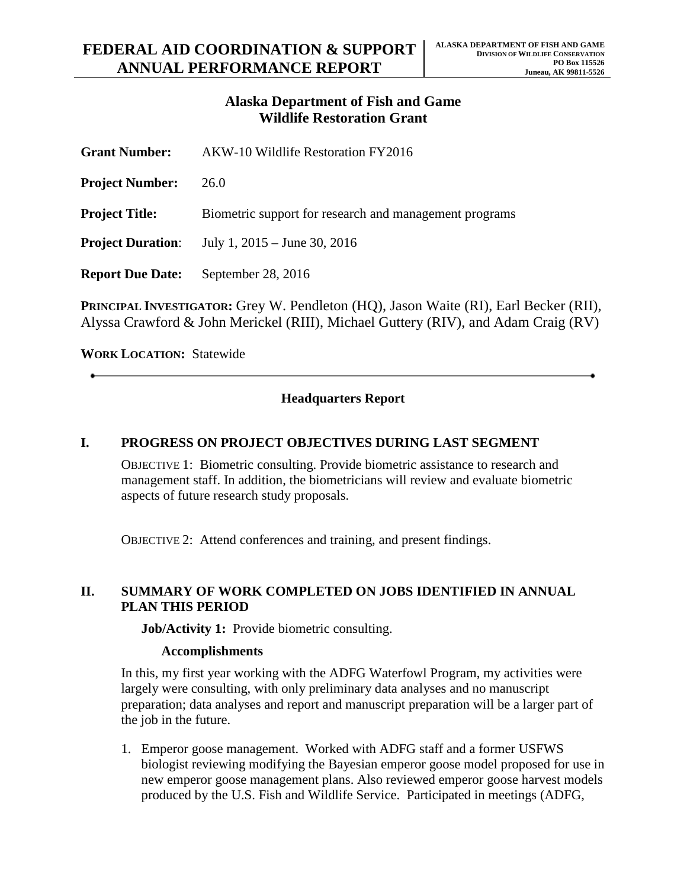## **Alaska Department of Fish and Game Wildlife Restoration Grant**

| <b>Grant Number:</b>     | AKW-10 Wildlife Restoration FY2016                     |
|--------------------------|--------------------------------------------------------|
| <b>Project Number:</b>   | 26.0                                                   |
| <b>Project Title:</b>    | Biometric support for research and management programs |
| <b>Project Duration:</b> | July 1, $2015 -$ June 30, $2016$                       |
| <b>Report Due Date:</b>  | September 28, 2016                                     |
|                          |                                                        |

**PRINCIPAL INVESTIGATOR:** Grey W. Pendleton (HQ), Jason Waite (RI), Earl Becker (RII), Alyssa Crawford & John Merickel (RIII), Michael Guttery (RIV), and Adam Craig (RV)

**WORK LOCATION:** Statewide

### **Headquarters Report**

#### **I. PROGRESS ON PROJECT OBJECTIVES DURING LAST SEGMENT**

OBJECTIVE 1: Biometric consulting. Provide biometric assistance to research and management staff. In addition, the biometricians will review and evaluate biometric aspects of future research study proposals.

OBJECTIVE 2: Attend conferences and training, and present findings.

#### **II. SUMMARY OF WORK COMPLETED ON JOBS IDENTIFIED IN ANNUAL PLAN THIS PERIOD**

**Job/Activity 1:** Provide biometric consulting.

#### **Accomplishments**

In this, my first year working with the ADFG Waterfowl Program, my activities were largely were consulting, with only preliminary data analyses and no manuscript preparation; data analyses and report and manuscript preparation will be a larger part of the job in the future.

1. Emperor goose management. Worked with ADFG staff and a former USFWS biologist reviewing modifying the Bayesian emperor goose model proposed for use in new emperor goose management plans. Also reviewed emperor goose harvest models produced by the U.S. Fish and Wildlife Service. Participated in meetings (ADFG,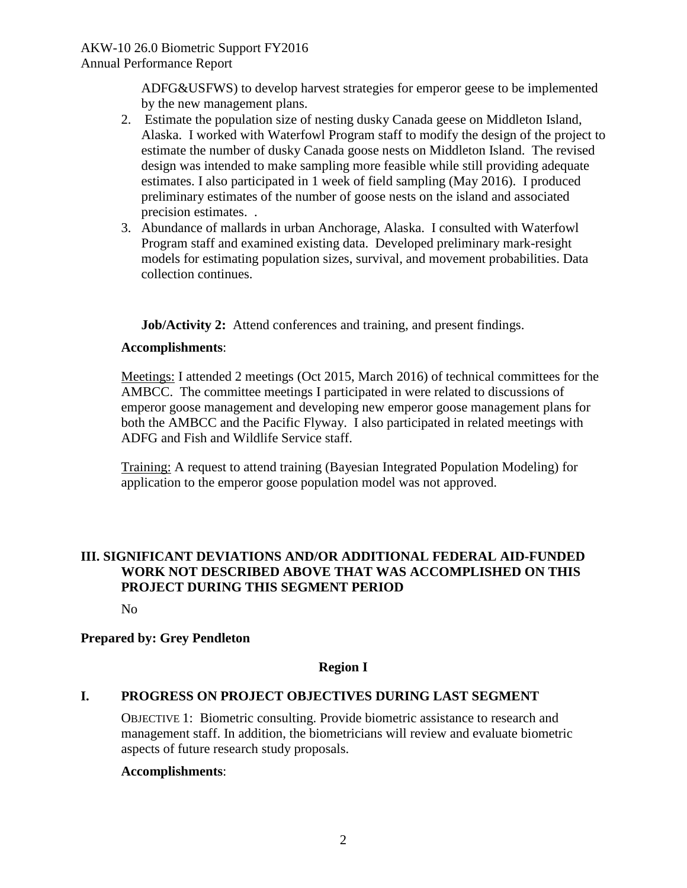ADFG&USFWS) to develop harvest strategies for emperor geese to be implemented by the new management plans.

- 2. Estimate the population size of nesting dusky Canada geese on Middleton Island, Alaska. I worked with Waterfowl Program staff to modify the design of the project to estimate the number of dusky Canada goose nests on Middleton Island. The revised design was intended to make sampling more feasible while still providing adequate estimates. I also participated in 1 week of field sampling (May 2016). I produced preliminary estimates of the number of goose nests on the island and associated precision estimates. .
- 3. Abundance of mallards in urban Anchorage, Alaska. I consulted with Waterfowl Program staff and examined existing data. Developed preliminary mark-resight models for estimating population sizes, survival, and movement probabilities. Data collection continues.

**Job/Activity 2:** Attend conferences and training, and present findings.

### **Accomplishments**:

Meetings: I attended 2 meetings (Oct 2015, March 2016) of technical committees for the AMBCC. The committee meetings I participated in were related to discussions of emperor goose management and developing new emperor goose management plans for both the AMBCC and the Pacific Flyway. I also participated in related meetings with ADFG and Fish and Wildlife Service staff.

Training: A request to attend training (Bayesian Integrated Population Modeling) for application to the emperor goose population model was not approved.

## **III. SIGNIFICANT DEVIATIONS AND/OR ADDITIONAL FEDERAL AID-FUNDED WORK NOT DESCRIBED ABOVE THAT WAS ACCOMPLISHED ON THIS PROJECT DURING THIS SEGMENT PERIOD**

No

### **Prepared by: Grey Pendleton**

### **Region I**

### **I. PROGRESS ON PROJECT OBJECTIVES DURING LAST SEGMENT**

OBJECTIVE 1: Biometric consulting. Provide biometric assistance to research and management staff. In addition, the biometricians will review and evaluate biometric aspects of future research study proposals.

### **Accomplishments**: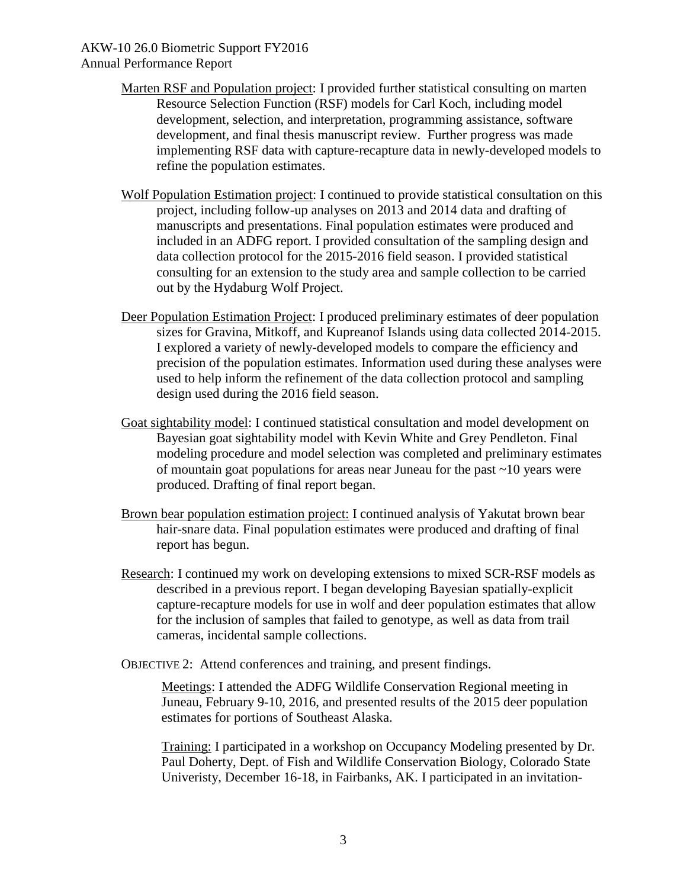- Marten RSF and Population project: I provided further statistical consulting on marten Resource Selection Function (RSF) models for Carl Koch, including model development, selection, and interpretation, programming assistance, software development, and final thesis manuscript review. Further progress was made implementing RSF data with capture-recapture data in newly-developed models to refine the population estimates.
- Wolf Population Estimation project: I continued to provide statistical consultation on this project, including follow-up analyses on 2013 and 2014 data and drafting of manuscripts and presentations. Final population estimates were produced and included in an ADFG report. I provided consultation of the sampling design and data collection protocol for the 2015-2016 field season. I provided statistical consulting for an extension to the study area and sample collection to be carried out by the Hydaburg Wolf Project.
- Deer Population Estimation Project: I produced preliminary estimates of deer population sizes for Gravina, Mitkoff, and Kupreanof Islands using data collected 2014-2015. I explored a variety of newly-developed models to compare the efficiency and precision of the population estimates. Information used during these analyses were used to help inform the refinement of the data collection protocol and sampling design used during the 2016 field season.
- Goat sightability model: I continued statistical consultation and model development on Bayesian goat sightability model with Kevin White and Grey Pendleton. Final modeling procedure and model selection was completed and preliminary estimates of mountain goat populations for areas near Juneau for the past ~10 years were produced. Drafting of final report began.
- Brown bear population estimation project: I continued analysis of Yakutat brown bear hair-snare data. Final population estimates were produced and drafting of final report has begun.
- Research: I continued my work on developing extensions to mixed SCR-RSF models as described in a previous report. I began developing Bayesian spatially-explicit capture-recapture models for use in wolf and deer population estimates that allow for the inclusion of samples that failed to genotype, as well as data from trail cameras, incidental sample collections.
- OBJECTIVE 2: Attend conferences and training, and present findings.

Meetings: I attended the ADFG Wildlife Conservation Regional meeting in Juneau, February 9-10, 2016, and presented results of the 2015 deer population estimates for portions of Southeast Alaska.

Training: I participated in a workshop on Occupancy Modeling presented by Dr. Paul Doherty, Dept. of Fish and Wildlife Conservation Biology, Colorado State Univeristy, December 16-18, in Fairbanks, AK. I participated in an invitation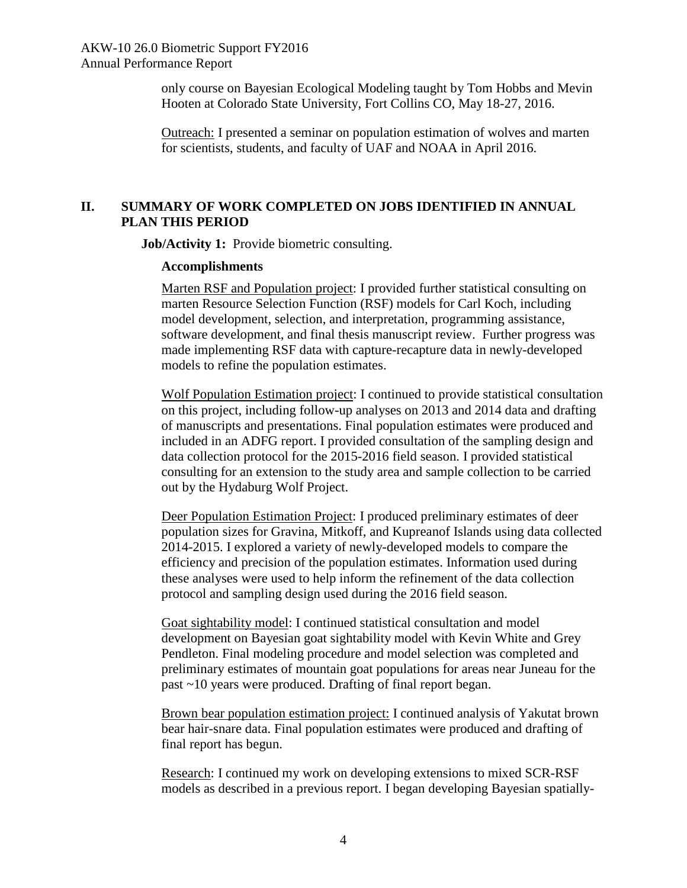only course on Bayesian Ecological Modeling taught by Tom Hobbs and Mevin Hooten at Colorado State University, Fort Collins CO, May 18-27, 2016.

Outreach: I presented a seminar on population estimation of wolves and marten for scientists, students, and faculty of UAF and NOAA in April 2016.

# **II. SUMMARY OF WORK COMPLETED ON JOBS IDENTIFIED IN ANNUAL PLAN THIS PERIOD**

**Job/Activity 1:** Provide biometric consulting.

#### **Accomplishments**

Marten RSF and Population project: I provided further statistical consulting on marten Resource Selection Function (RSF) models for Carl Koch, including model development, selection, and interpretation, programming assistance, software development, and final thesis manuscript review. Further progress was made implementing RSF data with capture-recapture data in newly-developed models to refine the population estimates.

Wolf Population Estimation project: I continued to provide statistical consultation on this project, including follow-up analyses on 2013 and 2014 data and drafting of manuscripts and presentations. Final population estimates were produced and included in an ADFG report. I provided consultation of the sampling design and data collection protocol for the 2015-2016 field season. I provided statistical consulting for an extension to the study area and sample collection to be carried out by the Hydaburg Wolf Project.

Deer Population Estimation Project: I produced preliminary estimates of deer population sizes for Gravina, Mitkoff, and Kupreanof Islands using data collected 2014-2015. I explored a variety of newly-developed models to compare the efficiency and precision of the population estimates. Information used during these analyses were used to help inform the refinement of the data collection protocol and sampling design used during the 2016 field season.

Goat sightability model: I continued statistical consultation and model development on Bayesian goat sightability model with Kevin White and Grey Pendleton. Final modeling procedure and model selection was completed and preliminary estimates of mountain goat populations for areas near Juneau for the past ~10 years were produced. Drafting of final report began.

Brown bear population estimation project: I continued analysis of Yakutat brown bear hair-snare data. Final population estimates were produced and drafting of final report has begun.

Research: I continued my work on developing extensions to mixed SCR-RSF models as described in a previous report. I began developing Bayesian spatially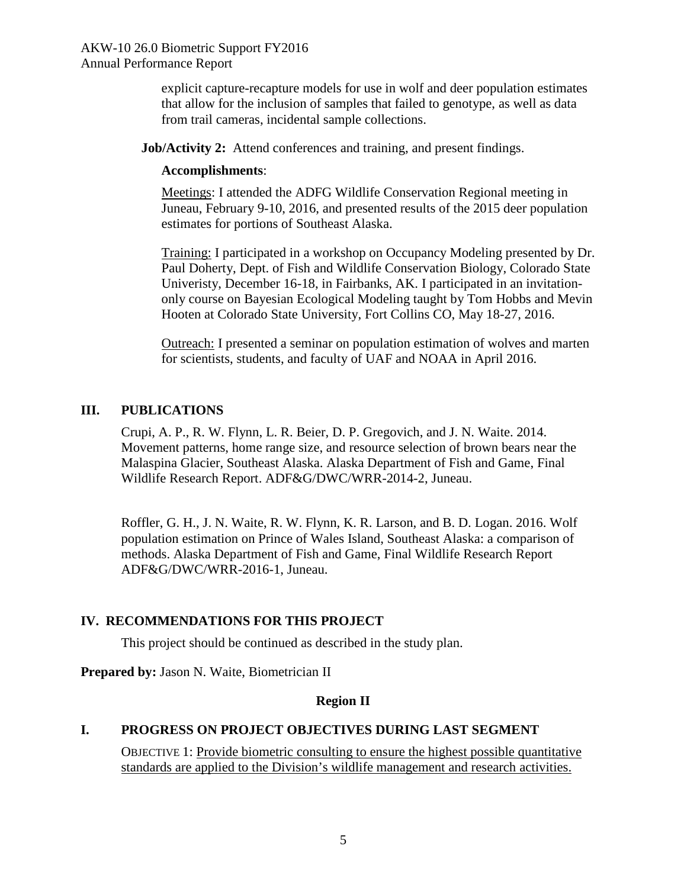explicit capture-recapture models for use in wolf and deer population estimates that allow for the inclusion of samples that failed to genotype, as well as data from trail cameras, incidental sample collections.

**Job/Activity 2:** Attend conferences and training, and present findings.

### **Accomplishments**:

Meetings: I attended the ADFG Wildlife Conservation Regional meeting in Juneau, February 9-10, 2016, and presented results of the 2015 deer population estimates for portions of Southeast Alaska.

Training: I participated in a workshop on Occupancy Modeling presented by Dr. Paul Doherty, Dept. of Fish and Wildlife Conservation Biology, Colorado State Univeristy, December 16-18, in Fairbanks, AK. I participated in an invitationonly course on Bayesian Ecological Modeling taught by Tom Hobbs and Mevin Hooten at Colorado State University, Fort Collins CO, May 18-27, 2016.

Outreach: I presented a seminar on population estimation of wolves and marten for scientists, students, and faculty of UAF and NOAA in April 2016.

# **III. PUBLICATIONS**

Crupi, A. P., R. W. Flynn, L. R. Beier, D. P. Gregovich, and J. N. Waite. 2014. Movement patterns, home range size, and resource selection of brown bears near the Malaspina Glacier, Southeast Alaska. Alaska Department of Fish and Game, Final Wildlife Research Report. ADF&G/DWC/WRR-2014-2, Juneau.

Roffler, G. H., J. N. Waite, R. W. Flynn, K. R. Larson, and B. D. Logan. 2016. Wolf population estimation on Prince of Wales Island, Southeast Alaska: a comparison of methods. Alaska Department of Fish and Game, Final Wildlife Research Report ADF&G/DWC/WRR-2016-1, Juneau.

# **IV. RECOMMENDATIONS FOR THIS PROJECT**

This project should be continued as described in the study plan.

**Prepared by:** Jason N. Waite, Biometrician II

### **Region II**

# **I. PROGRESS ON PROJECT OBJECTIVES DURING LAST SEGMENT**

OBJECTIVE 1: Provide biometric consulting to ensure the highest possible quantitative standards are applied to the Division's wildlife management and research activities.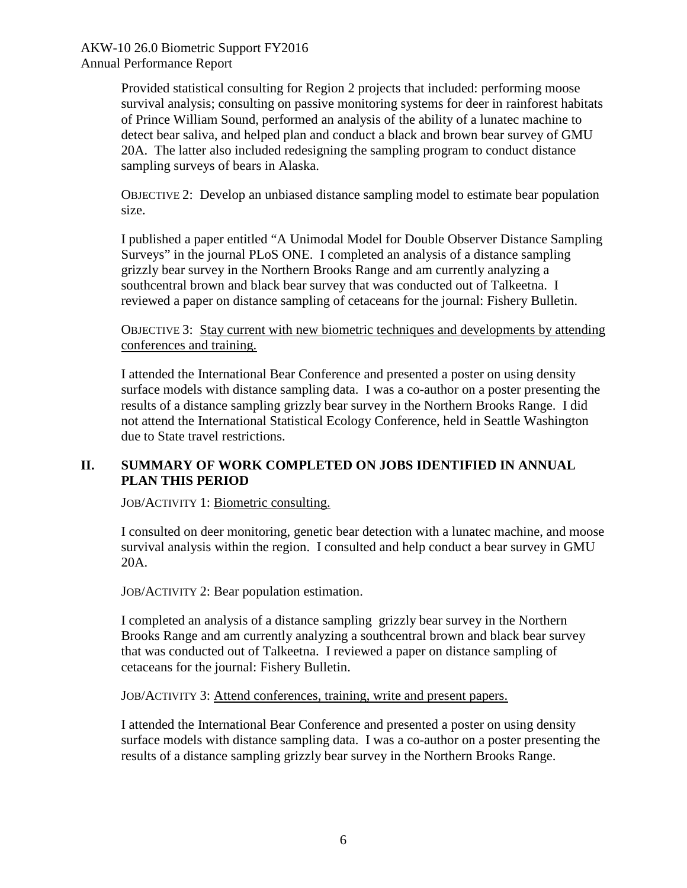> Provided statistical consulting for Region 2 projects that included: performing moose survival analysis; consulting on passive monitoring systems for deer in rainforest habitats of Prince William Sound, performed an analysis of the ability of a lunatec machine to detect bear saliva, and helped plan and conduct a black and brown bear survey of GMU 20A. The latter also included redesigning the sampling program to conduct distance sampling surveys of bears in Alaska.

> OBJECTIVE 2: Develop an unbiased distance sampling model to estimate bear population size.

> I published a paper entitled "A Unimodal Model for Double Observer Distance Sampling Surveys" in the journal PLoS ONE. I completed an analysis of a distance sampling grizzly bear survey in the Northern Brooks Range and am currently analyzing a southcentral brown and black bear survey that was conducted out of Talkeetna. I reviewed a paper on distance sampling of cetaceans for the journal: Fishery Bulletin.

> OBJECTIVE 3: Stay current with new biometric techniques and developments by attending conferences and training.

I attended the International Bear Conference and presented a poster on using density surface models with distance sampling data. I was a co-author on a poster presenting the results of a distance sampling grizzly bear survey in the Northern Brooks Range. I did not attend the International Statistical Ecology Conference, held in Seattle Washington due to State travel restrictions.

## **II. SUMMARY OF WORK COMPLETED ON JOBS IDENTIFIED IN ANNUAL PLAN THIS PERIOD**

JOB/ACTIVITY 1: Biometric consulting.

I consulted on deer monitoring, genetic bear detection with a lunatec machine, and moose survival analysis within the region. I consulted and help conduct a bear survey in GMU 20A.

JOB/ACTIVITY 2: Bear population estimation.

I completed an analysis of a distance sampling grizzly bear survey in the Northern Brooks Range and am currently analyzing a southcentral brown and black bear survey that was conducted out of Talkeetna. I reviewed a paper on distance sampling of cetaceans for the journal: Fishery Bulletin.

JOB/ACTIVITY 3: Attend conferences, training, write and present papers.

I attended the International Bear Conference and presented a poster on using density surface models with distance sampling data. I was a co-author on a poster presenting the results of a distance sampling grizzly bear survey in the Northern Brooks Range.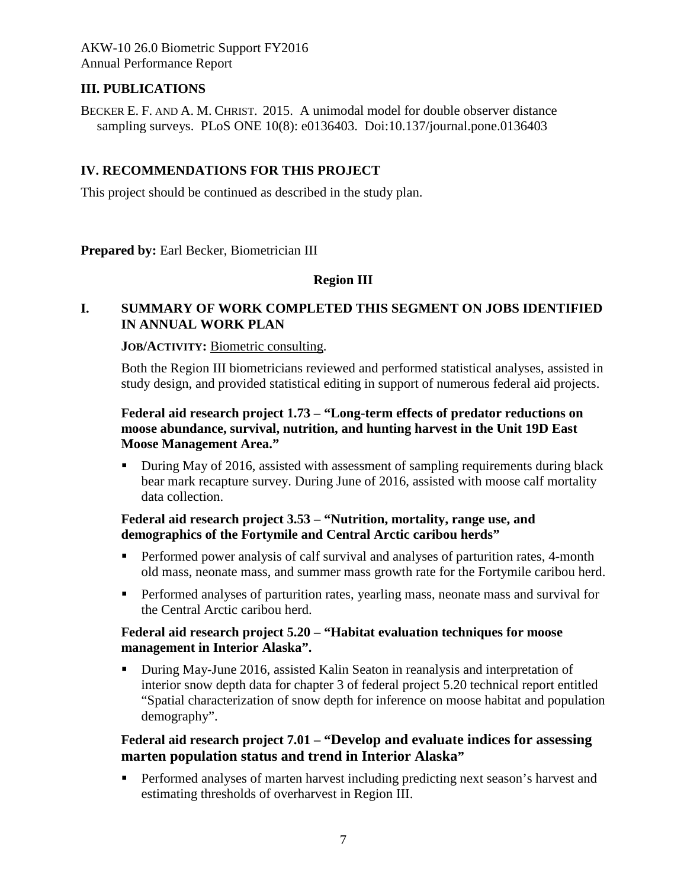## **III. PUBLICATIONS**

BECKER E. F. AND A. M. CHRIST. 2015. A unimodal model for double observer distance sampling surveys. PLoS ONE 10(8): e0136403. Doi:10.137/journal.pone.0136403

### **IV. RECOMMENDATIONS FOR THIS PROJECT**

This project should be continued as described in the study plan.

**Prepared by: Earl Becker, Biometrician III** 

## **Region III**

## **I. SUMMARY OF WORK COMPLETED THIS SEGMENT ON JOBS IDENTIFIED IN ANNUAL WORK PLAN**

#### **JOB/ACTIVITY:** Biometric consulting.

Both the Region III biometricians reviewed and performed statistical analyses, assisted in study design, and provided statistical editing in support of numerous federal aid projects.

### **Federal aid research project 1.73 – "Long-term effects of predator reductions on moose abundance, survival, nutrition, and hunting harvest in the Unit 19D East Moose Management Area."**

During May of 2016, assisted with assessment of sampling requirements during black bear mark recapture survey. During June of 2016, assisted with moose calf mortality data collection.

#### **Federal aid research project 3.53 – "Nutrition, mortality, range use, and demographics of the Fortymile and Central Arctic caribou herds"**

- Performed power analysis of calf survival and analyses of parturition rates, 4-month old mass, neonate mass, and summer mass growth rate for the Fortymile caribou herd.
- **Performed analyses of parturition rates, yearling mass, neonate mass and survival for** the Central Arctic caribou herd.

#### **Federal aid research project 5.20 – "Habitat evaluation techniques for moose management in Interior Alaska".**

 During May-June 2016, assisted Kalin Seaton in reanalysis and interpretation of interior snow depth data for chapter 3 of federal project 5.20 technical report entitled "Spatial characterization of snow depth for inference on moose habitat and population demography".

## **Federal aid research project 7.01 – "Develop and evaluate indices for assessing marten population status and trend in Interior Alaska"**

**Performed analyses of marten harvest including predicting next season's harvest and** estimating thresholds of overharvest in Region III.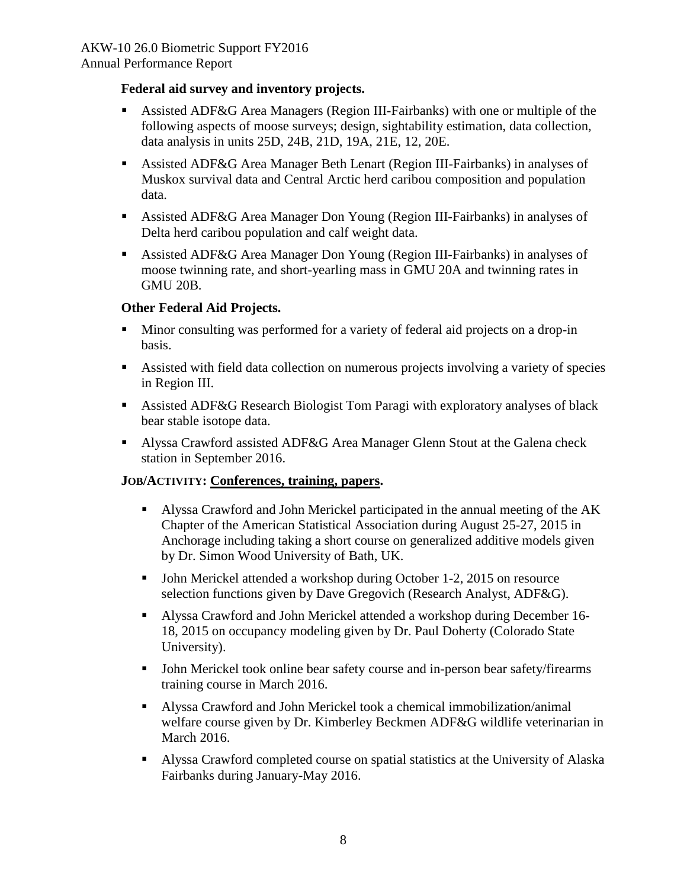Annual Performance Report

### **Federal aid survey and inventory projects.**

- Assisted ADF&G Area Managers (Region III-Fairbanks) with one or multiple of the following aspects of moose surveys; design, sightability estimation, data collection, data analysis in units 25D, 24B, 21D, 19A, 21E, 12, 20E.
- Assisted ADF&G Area Manager Beth Lenart (Region III-Fairbanks) in analyses of Muskox survival data and Central Arctic herd caribou composition and population data.
- Assisted ADF&G Area Manager Don Young (Region III-Fairbanks) in analyses of Delta herd caribou population and calf weight data.
- Assisted ADF&G Area Manager Don Young (Region III-Fairbanks) in analyses of moose twinning rate, and short-yearling mass in GMU 20A and twinning rates in GMU 20B.

## **Other Federal Aid Projects.**

- Minor consulting was performed for a variety of federal aid projects on a drop-in basis.
- Assisted with field data collection on numerous projects involving a variety of species in Region III.
- Assisted ADF&G Research Biologist Tom Paragi with exploratory analyses of black bear stable isotope data.
- **Alyssa Crawford assisted ADF&G Area Manager Glenn Stout at the Galena check** station in September 2016.

### **JOB/ACTIVITY: Conferences, training, papers.**

- Alyssa Crawford and John Merickel participated in the annual meeting of the AK Chapter of the American Statistical Association during August 25-27, 2015 in Anchorage including taking a short course on generalized additive models given by Dr. Simon Wood University of Bath, UK.
- John Merickel attended a workshop during October 1-2, 2015 on resource selection functions given by Dave Gregovich (Research Analyst, ADF&G).
- Alyssa Crawford and John Merickel attended a workshop during December 16- 18, 2015 on occupancy modeling given by Dr. Paul Doherty (Colorado State University).
- John Merickel took online bear safety course and in-person bear safety/firearms training course in March 2016.
- Alyssa Crawford and John Merickel took a chemical immobilization/animal welfare course given by Dr. Kimberley Beckmen ADF&G wildlife veterinarian in March 2016.
- Alyssa Crawford completed course on spatial statistics at the University of Alaska Fairbanks during January-May 2016.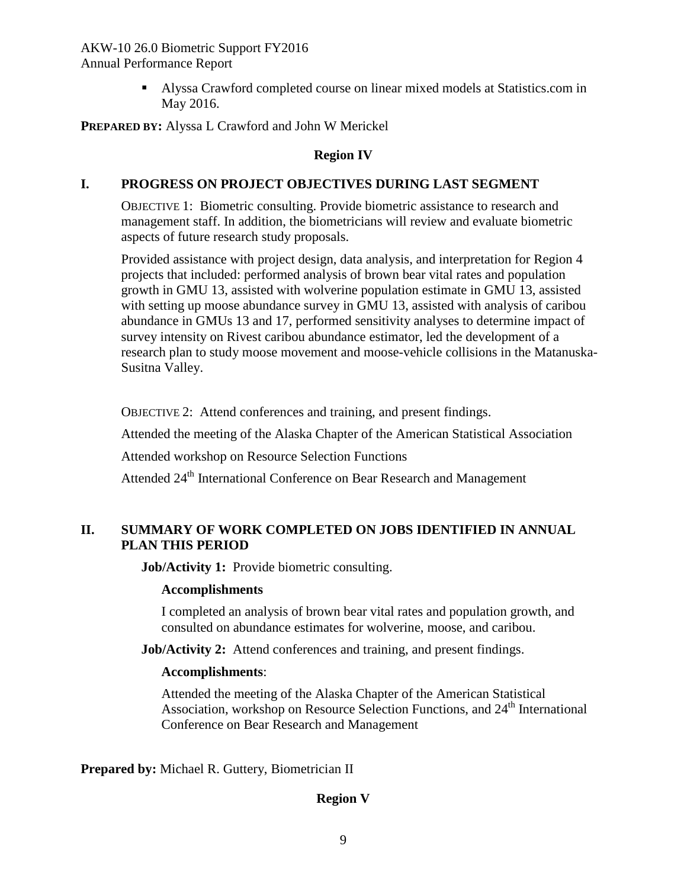> Alyssa Crawford completed course on linear mixed models at Statistics.com in May 2016.

**PREPARED BY:** Alyssa L Crawford and John W Merickel

### **Region IV**

### **I. PROGRESS ON PROJECT OBJECTIVES DURING LAST SEGMENT**

OBJECTIVE 1: Biometric consulting. Provide biometric assistance to research and management staff. In addition, the biometricians will review and evaluate biometric aspects of future research study proposals.

Provided assistance with project design, data analysis, and interpretation for Region 4 projects that included: performed analysis of brown bear vital rates and population growth in GMU 13, assisted with wolverine population estimate in GMU 13, assisted with setting up moose abundance survey in GMU 13, assisted with analysis of caribou abundance in GMUs 13 and 17, performed sensitivity analyses to determine impact of survey intensity on Rivest caribou abundance estimator, led the development of a research plan to study moose movement and moose-vehicle collisions in the Matanuska-Susitna Valley.

OBJECTIVE 2: Attend conferences and training, and present findings.

Attended the meeting of the Alaska Chapter of the American Statistical Association

Attended workshop on Resource Selection Functions

Attended 24<sup>th</sup> International Conference on Bear Research and Management

### **II. SUMMARY OF WORK COMPLETED ON JOBS IDENTIFIED IN ANNUAL PLAN THIS PERIOD**

**Job/Activity 1:** Provide biometric consulting.

### **Accomplishments**

I completed an analysis of brown bear vital rates and population growth, and consulted on abundance estimates for wolverine, moose, and caribou.

**Job/Activity 2:** Attend conferences and training, and present findings.

### **Accomplishments**:

Attended the meeting of the Alaska Chapter of the American Statistical Association, workshop on Resource Selection Functions, and 24<sup>th</sup> International Conference on Bear Research and Management

**Prepared by:** Michael R. Guttery, Biometrician II

### **Region V**